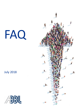# **descriptions de** FAQ**fonction**

# July 2018



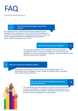

**How has the job description sample been 1 created?**

*The sample has been created during workshops organized by the negotiation team (composed of union's and banks representatives). It comprises a non-exhaustive list covering the main functions. These jobs are the most represented within the different banking institutions (source: KPMG remuneration survey 2017).*

**How have the jobs been weighted?** 

**2**

*They have been weighted by the negotiation team and specialised consultants in order to ensure the neutrality of the exercise and proper application of a proven methodology. In addition, a global consistency review has been performed and validated.*

#### **3 Who has chosen the evaluation criteria?**

*A job grading methodology has been selected by the negotiation team. This methodology has been adapted in order to enable the implementation of a grading system within banking institutions.*



**How can I be sure that the grading process has been fairly treated?**

*The methodology has been developed in order to guarantee neutrality and quick user adoption. An internal consistency review will have to be performed by each banking institution during the implementation exercise to ensure 100 percent equality in each job grading.*

**4**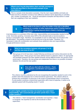**What to do if my job description does not fully correspond to the job described in the provided example of job descriptions?**

*This is a sample of job description examples. Only the main responsibilities and tasks are listed and this is therefore normal to have difference between banks depending on activities, size, number of employees, etc.. Those job descriptions examples will help banks to create their own weighting in their own institution.*



**What needs to be done in case the holder of the job is identified working on a number of other tasks/areas and/or if his/her level of responsibility is going beyond what is listed in his/her job description?**

*A job description is a summary of the main roles, responsibilities and prerequisites needed to fulfil a role. Generally speaking, it includes about 80% of the allocated tasks at several positions having a comparable range. Therefore, it is acceptable to work on other tasks not included in the job description. The grading is based on the job and not on the job holder. Therefore, it is necessary to take into consideration and evaluate those additional roles and responsibilities through performance reviews.*



*New groups (A to D) have been created following workshops and various discussions by the negotiation team. These groups have been defined based on objective criteria. An appropriate and equitable treatment has been applied (linearity among different levels, four groups of four points each). Therefore, the new groups are independent and there is no possible correlation between the old and the new system.*

**8 How will you deal with the criterion « Team management, coordination and expertise»?**

*This criterion must be understood as the one recognising the expertise needed to work in this position when the employee has no direct functional supervision. This criterion allows to enhance the coordination of resources in the scope of projects/tasks (short- to long-term). If a job position combines a hierarchical supervision with a level of expertise, it needs to be adjusted upward with the grading result (+1 point).*

**9**

**If a job is highly complex but does not require any supervision responsibility, will it automatically get fewer points than a Team Leader position?** 

*The criterion « Team management, coordination and expertise » helps to recognise the expertise as well as the functional or direct supervision.* 

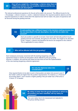**How will you weight the « Knowledge » criterion when there is a difference between the real academic diploma and the one stated in the job description?**

*The relevant professional experience for the job will be taken into account. The different levels for the « Knowledge » criterion include a « and/or » statement between the required academic diploma and the required experience in order to show that if the diploma level will not match, the years of experience will be favoured during the grading exercise.* 

> **If a job position has a different impact in the decision-making process than the one described in the job description, how will this be taken into account?**

*Each job position is specific to its bank. Each bank will internally perform its job grading exercise and evaluate, throughout to the matrix, the weight to be allocated to the « Impact » criterion and therefore the level to be assigned to this criterion. This is applicable for every criterion.*

**11**

**12 Who will be affected with this job grading?**

*Each employee previously concerned with the banking bargaining collective agreement based on his/her job description will be affected by this job grading exercise. In addition, the exercise will impact all new hires as from the implementation of the new banking bargaining collective agreement.*

**Are only the diplomas taken into consideration? 13**

*Only required factors to be able to work in that position are taken into account, even if the holder's skills are higher than the position requirements. For instance, a « Financial Accounting Agent » won't receive a higher grading if the job holder has a PhD since a "A level +2" is needed.*



**14**

**My salary is lower than the group minimum in which my job position has been classified, will my salary be reassessed?**

*Yes, your salary has to be reassessed and adjusted to the group starting amount.*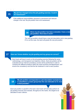# **My job has changed since the job grading exercise. Could it 15 be reassessed?**

*If the additional responsibilities represent a permanent and relevant change in the role, the job position has to be reassessed.*

> **16 Since my job position has been evaluated, I have a new job position. How does it work?**

*The new job position should have a new job description and a new grading. If it is not the case, the bank will grade the new job position.*

#### **17 How can I know whether my job grading and my group are correct?**

*Each bank will have to work on the job grading exercise following the same methodology, and transparent and objective criteria. Each job position will be evaluated and an internal consistency review will be performed in order to compare the different positions within the same business line/department, and ensure the consistency and that the fair treatment is met to each position.*

**18**

**My job position corresponds to a job description example but is classified in a lower group than the one indicated on it; how is that possible?**

*Each job position is specific to the bank. Each bank will internally perform its job grading exercise and evaluate, throughout to the matrix, the weight to be allocated to each criterion.*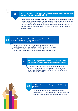**What will happen if I am asked to temporarily perform additional tasks that require a different responsibility level? 19**

> *If the fulfillment of those tasks happens in the scope of a replacement or during an increase in activities, meaning promptly and temporarily, this will not be taken into account in the grading, and the job position will not be reassessed. Only significant changes will be taken into consideration. Such additional kind of task and responsibility would have to be taken into account in a performance review process.*

#### **20 I have noticed that my job position has obtained a different result in another market bank, why is that so?**

*A job position having a similar title in different institutions does not mean that the roles and responsibilities are the same (depending on the department size, hierarchical models, jobs, etc.). Therefore, it is indeed possible that the group positioning is different.*

> **The job descriptions seem to be a critical factor in the job grading. Would there be transparence in that area? 21**

> > *Job descriptions will have to be created and/or updated in order to ensure that they correctly reflect the current roles and responsibilities. The job grading exercise would need to be realised on this basis.*



## **What to do in case of a disagreement with the job 22 grading?**

*The job holder would be able to contact his/her HR department and/or staff delegation to get clarification about his/her job positioning. An appeal would also be possible.*